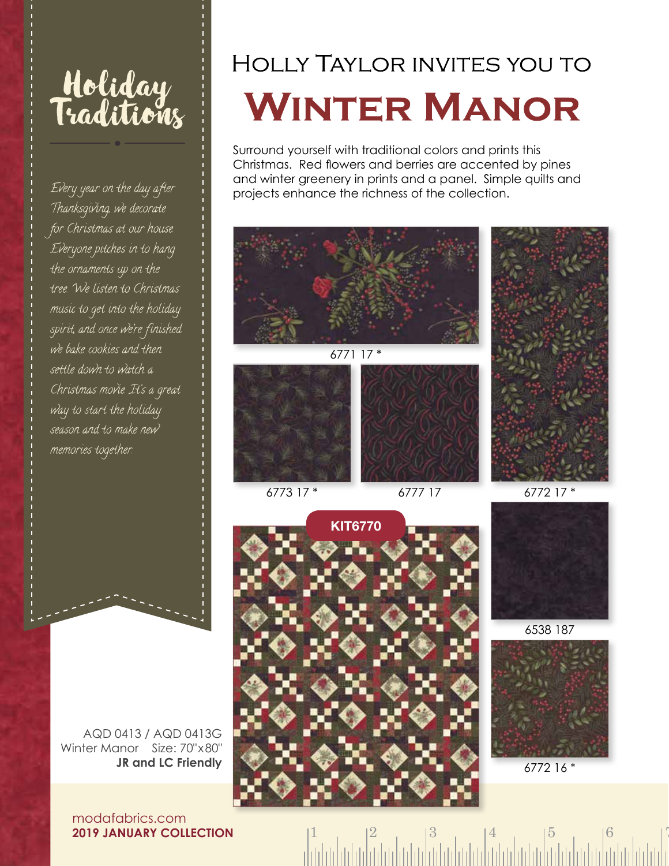

Every year on the day after Thanksgiving, we decorate for Christmas at our house. Everyone pitches in to hang the ornaments up on the tree. We listen to Christmas music to get into the holiday spirit, and once we're finished we bake cookies and then settle down to watch a Christmas movie. It's a great way to start the holiday season and to make new memories together.

## **HOLLY TAYLOR INVITES YOU TO WINTER MANOR**

Surround yourself with traditional colors and prints this Christmas. Red flowers and berries are accented by pines and winter greenery in prints and a panel. Simple quilts and projects enhance the richness of the collection.







6538 187



6772 16 \*

 $1 \t 2 \t 3 \t 4 \t 5 \t 6 \t 7$ 

AQD 0413 / AQD 0413G Winter Manor Size: 70"x80" **JR and LC Friendly**

modafabrics.com **2019 JANUARY COLLECTION**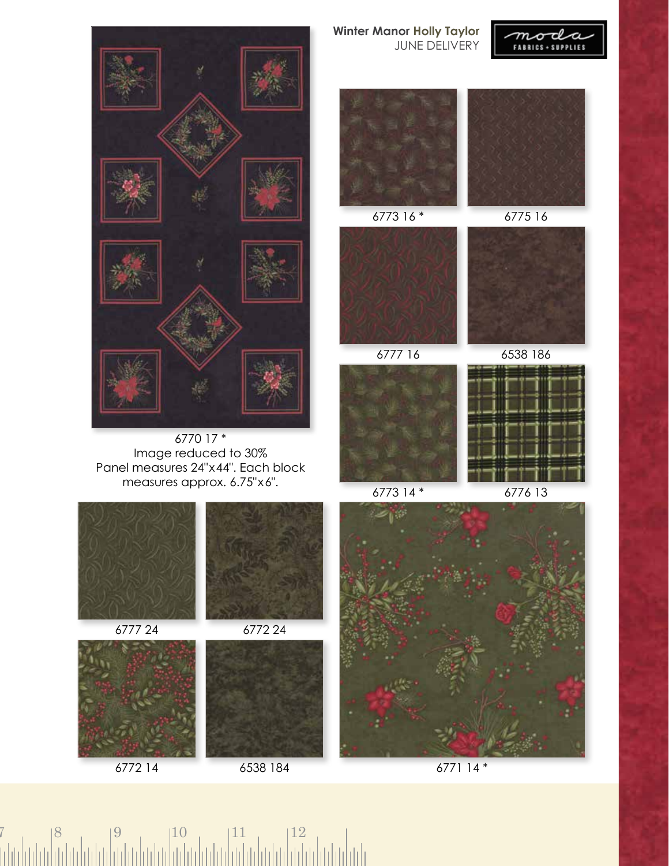

6770 17 \* Image reduced to 30% Panel measures 24"x44". Each block measures approx. 6.75"x6".



**Winter Manor Holly Taylor** JUNE DELIVERY







6773 16 \* 6775 16









6773 14 \* 6776 13



6772 14 6771 14 \* 6538 184

## $7 \t| 8 \t| 9 \t| 10 \t| 11 \t| 12$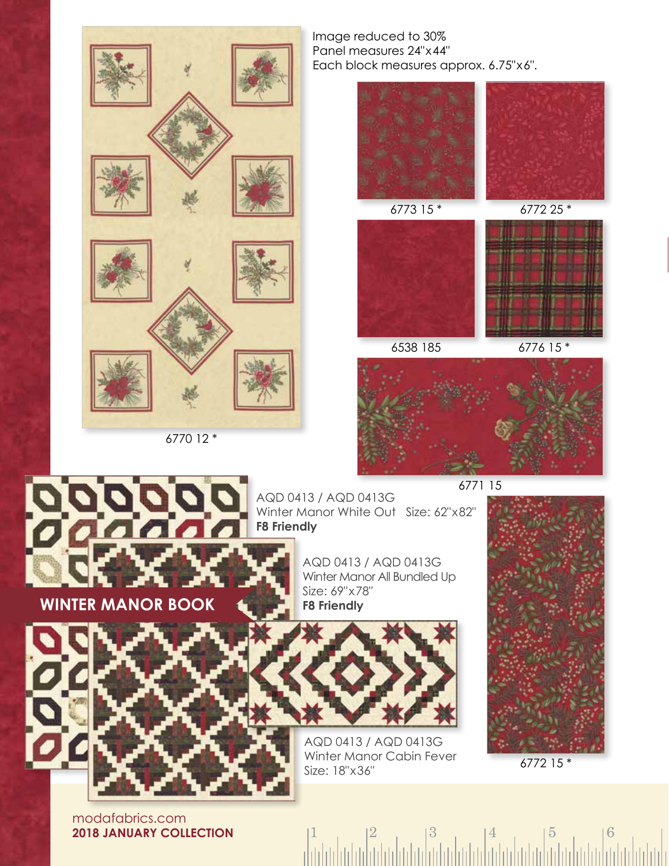



**WINTER MANOR BOOK**

Image reduced to 30% Panel measures 24"x44" Each block measures approx. 6.75"x6".





6538 185 6776 15 \*



AQD 0413 / AQD 0413G Winter Manor White Out Size: 62"x82" **F8 Friendly**

> AQD 0413 / AQD 0413G Winter Manor All Bundled Up Size: 69"x78" **F8 Friendly**



AQD 0413 / AQD 0413G Winter Manor Cabin Fever Size: 18"x36"



6772 15 \*

 $1 \t| 2 \t| 3 \t| 4 \t| 5 \t| 6$ 

modafabrics.com **2018 JANUARY COLLECTION**